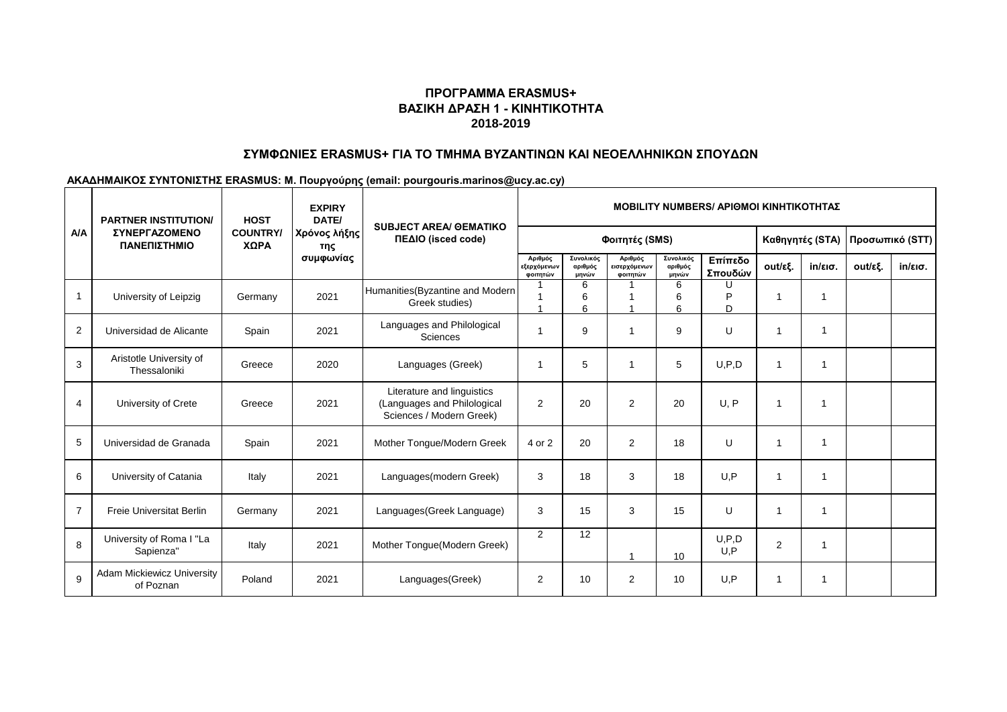# **ΠΡΟΓΡΑΜΜΑ ERASMUS+ ΒΑΣΙΚΗ ΔΡΑΣΗ 1 - ΚΙΝΗΤΙΚΟΤΗΤΑ 2018-2019**

## **ΣΥΜΦΩΝΙΕΣ ERASMUS+ ΓΙΑ ΤΟ ΤΜΗΜΑ ΒΥΖΑΝΤΙΝΩΝ ΚΑΙ ΝΕΟΕΛΛΗΝΙΚΩΝ ΣΠΟΥΔΩΝ**

### **ΑΚΑΔΗΜΑΙΚΟΣ ΣΥΝΤΟΝΙΣΤΗΣ ERASMUS: Μ. Πουργούρης (email: pourgouris.marinos@ucy.ac.cy)**

| <b>A/A</b>     | <b>PARTNER INSTITUTION/</b><br><b>ΣΥΝΕΡΓΑΖΟΜΕΝΟ</b><br>ΠΑΝΕΠΙΣΤΗΜΙΟ | <b>HOST</b><br><b>COUNTRY/</b><br>ΧΩΡΑ | <b>EXPIRY</b><br>DATE/<br>Χρόνος λήξης<br>της<br>συμφωνίας | <b>SUBJECT AREA/ GEMATIKO</b><br>ΠΕΔΙΟ (isced code)                                   | <b>MOBILITY NUMBERS/ ΑΡΙΘΜΟΙ ΚΙΝΗΤΙΚΟΤΗΤΑΣ</b> |                               |                                     |                               |                    |                 |                         |                 |            |
|----------------|---------------------------------------------------------------------|----------------------------------------|------------------------------------------------------------|---------------------------------------------------------------------------------------|------------------------------------------------|-------------------------------|-------------------------------------|-------------------------------|--------------------|-----------------|-------------------------|-----------------|------------|
|                |                                                                     |                                        |                                                            |                                                                                       | Φοιτητές (SMS)                                 |                               |                                     |                               |                    | Καθηγητές (STA) |                         | Προσωπικό (STT) |            |
|                |                                                                     |                                        |                                                            |                                                                                       | Αριθμός<br>εξερχόμενων<br>φοιτητών             | Συνολικός<br>αριθμός<br>μηνών | Αριθμός<br>εισερχόμενων<br>φοιτητών | Συνολικός<br>αριθμός<br>μηνών | Επίπεδο<br>Σπουδών | out/εξ.         | $in/\epsilon$ ισ.       | out/εξ.         | $in/ε$ ισ. |
| -1             | University of Leipzig                                               | Germany                                | 2021                                                       | Humanities (Byzantine and Modern<br>Greek studies)                                    |                                                | 6<br>6<br>6                   |                                     | 6<br>6<br>6                   | D<br>D             | 1               | -1                      |                 |            |
| $\overline{2}$ | Universidad de Alicante                                             | Spain                                  | 2021                                                       | Languages and Philological<br>Sciences                                                | 1                                              | 9                             | $\overline{\mathbf{1}}$             | 9                             | U                  | $\mathbf 1$     | $\overline{\mathbf{1}}$ |                 |            |
| 3              | Aristotle University of<br>Thessaloniki                             | Greece                                 | 2020                                                       | Languages (Greek)                                                                     | 1                                              | 5                             | -1                                  | 5                             | U.P.D              | 1               | $\mathbf{1}$            |                 |            |
| 4              | University of Crete                                                 | Greece                                 | 2021                                                       | Literature and linguistics<br>(Languages and Philological<br>Sciences / Modern Greek) | $\overline{2}$                                 | 20                            | 2                                   | 20                            | U, P               | 1               | -1                      |                 |            |
| 5              | Universidad de Granada                                              | Spain                                  | 2021                                                       | Mother Tongue/Modern Greek                                                            | 4 or 2                                         | 20                            | 2                                   | 18                            | U                  | 1               | -1                      |                 |            |
| 6              | University of Catania                                               | Italy                                  | 2021                                                       | Languages(modern Greek)                                                               | 3                                              | 18                            | 3                                   | 18                            | U.P                | 1               | -1                      |                 |            |
| $\overline{7}$ | <b>Freie Universitat Berlin</b>                                     | Germany                                | 2021                                                       | Languages (Greek Language)                                                            | 3                                              | 15                            | 3                                   | 15                            | U                  | $\mathbf{1}$    |                         |                 |            |
| 8              | University of Roma I "La<br>Sapienza"                               | Italy                                  | 2021                                                       | Mother Tongue(Modern Greek)                                                           | $\overline{2}$                                 | 12                            |                                     | 10                            | U.P.D<br>U.P       | $\overline{2}$  | -1                      |                 |            |
| 9              | <b>Adam Mickiewicz University</b><br>of Poznan                      | Poland                                 | 2021                                                       | Languages(Greek)                                                                      | 2                                              | 10                            | 2                                   | 10                            | U.P                | 1               |                         |                 |            |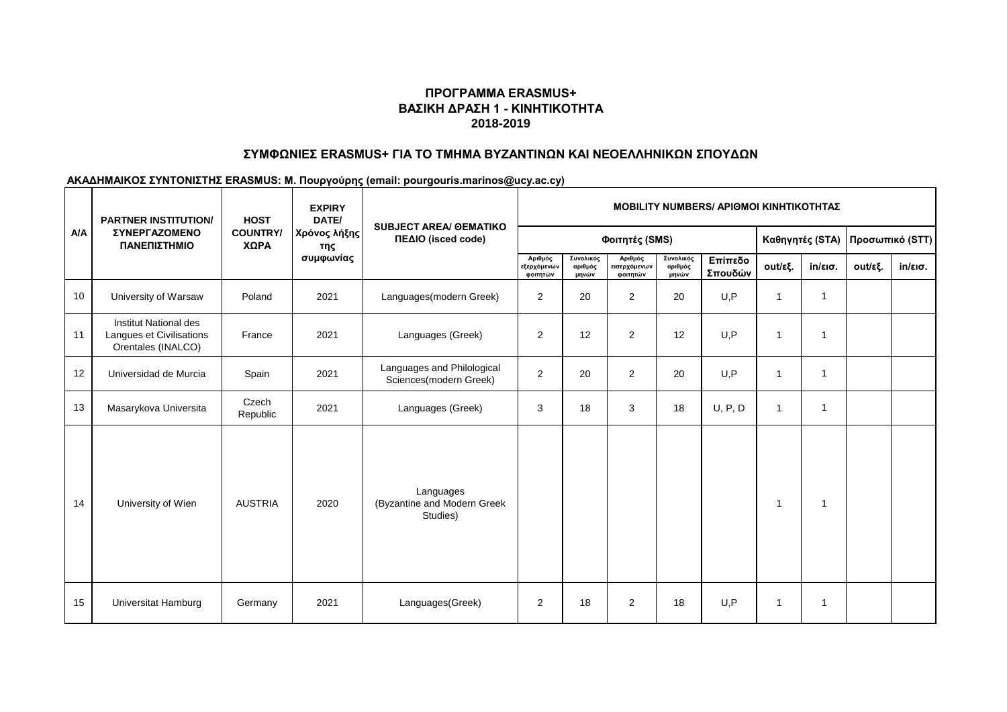# **ΠΡΟΓΡΑΜΜΑ ERASMUS+ ΒΑΣΙΚΗ ΔΡΑΣΗ 1 - ΚΙΝΗΤΙΚΟΤΗΤΑ 2018-2019**

## **ΣΥΜΦΩΝΙΕΣ ERASMUS+ ΓΙΑ ΤΟ ΤΜΗΜΑ ΒΥΖΑΝΤΙΝΩΝ ΚΑΙ ΝΕΟΕΛΛΗΝΙΚΩΝ ΣΠΟΥΔΩΝ**

### **ΑΚΑΔΗΜΑΙΚΟΣ ΣΥΝΤΟΝΙΣΤΗΣ ERASMUS: Μ. Πουργούρης (email: pourgouris.marinos@ucy.ac.cy)**

|     | <b>PARTNER INSTITUTION/</b>                                             | <b>HOST</b><br><b>COUNTRY/</b><br>ΧΩΡΑ | <b>EXPIRY</b><br>DATE/<br>Χρόνος λήξης<br>της<br>συμφωνίας | <b>SUBJECT AREA/ OEMATIKO</b><br>ΠΕΔΙΟ (isced code)  | <b>MOBILITY NUMBERS/ ΑΡΙΘΜΟΙ ΚΙΝΗΤΙΚΟΤΗΤΑΣ</b> |                               |                                     |                               |                    |                 |                         |                 |                   |
|-----|-------------------------------------------------------------------------|----------------------------------------|------------------------------------------------------------|------------------------------------------------------|------------------------------------------------|-------------------------------|-------------------------------------|-------------------------------|--------------------|-----------------|-------------------------|-----------------|-------------------|
| A/A | <b>ΣΥΝΕΡΓΑΖΟΜΕΝΟ</b><br>ΠΑΝΕΠΙΣΤΗΜΙΟ                                    |                                        |                                                            |                                                      | Φοιτητές (SMS)                                 |                               |                                     |                               |                    | Καθηγητές (STA) |                         | Προσωπικό (STT) |                   |
|     |                                                                         |                                        |                                                            |                                                      | Αριθμός<br>εξερχόμενων<br>φοιτητών             | Συνολικός<br>αριθμός<br>μηνών | Αριθμός<br>εισερχόμενων<br>φοιτητών | Συνολικός<br>αριθμός<br>μηνών | Επίπεδο<br>Σπουδών | out/εξ.         | $in/\epsilon$ ισ.       | out/εξ.         | $in/\epsilon$ ισ. |
| 10  | University of Warsaw                                                    | Poland                                 | 2021                                                       | Languages(modern Greek)                              | $\overline{2}$                                 | 20                            | 2                                   | 20                            | U.P                | 1               | $\overline{\mathbf{1}}$ |                 |                   |
| 11  | Institut National des<br>Langues et Civilisations<br>Orentales (INALCO) | France                                 | 2021                                                       | Languages (Greek)                                    | $\mathbf{2}$                                   | 12                            | 2                                   | 12                            | U, P               | 1               | -1                      |                 |                   |
| 12  | Universidad de Murcia                                                   | Spain                                  | 2021                                                       | Languages and Philological<br>Sciences(modern Greek) | 2                                              | 20                            | 2                                   | 20                            | U, P               | $\mathbf{1}$    | $\mathbf{1}$            |                 |                   |
| 13  | Masarykova Universita                                                   | Czech<br>Republic                      | 2021                                                       | Languages (Greek)                                    | 3                                              | 18                            | 3                                   | 18                            | U, P, D            | $\mathbf{1}$    | $\mathbf{1}$            |                 |                   |
| 14  | University of Wien                                                      | <b>AUSTRIA</b>                         | 2020                                                       | Languages<br>(Byzantine and Modern Greek<br>Studies) |                                                |                               |                                     |                               |                    | 1               | -1                      |                 |                   |
| 15  | Universitat Hamburg                                                     | Germany                                | 2021                                                       | Languages(Greek)                                     | 2                                              | 18                            | 2                                   | 18                            | U, P               | 1               | -1                      |                 |                   |